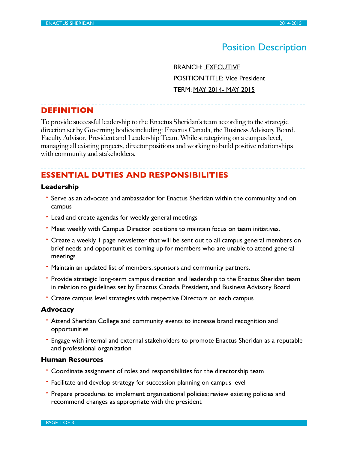# Position Description

 BRANCH: EXECUTIVE POSITION TITLE: Vice President TERM: MAY 2014- MAY 2015

## **DEFINITION**

To provide successful leadership to the Enactus Sheridan's team according to the strategic direction set by Governing bodies including: Enactus Canada, the Business Advisory Board, Faculty Advisor, President and Leadership Team. While strategizing on a campus level, managing all existing projects, director positions and working to build positive relationships with community and stakeholders.

## **ESSENTIAL DUTIES AND RESPONSIBILITIES**

## **Leadership**

- Serve as an advocate and ambassador for Enactus Sheridan within the community and on campus
- Lead and create agendas for weekly general meetings
- Meet weekly with Campus Director positions to maintain focus on team initiatives.
- Create a weekly 1 page newsletter that will be sent out to all campus general members on brief needs and opportunities coming up for members who are unable to attend general meetings
- Maintain an updated list of members, sponsors and community partners.
- Provide strategic long-term campus direction and leadership to the Enactus Sheridan team in relation to guidelines set by Enactus Canada, President, and Business Advisory Board
- Create campus level strategies with respective Directors on each campus

#### **Advocacy**

- Attend Sheridan College and community events to increase brand recognition and opportunities
- Engage with internal and external stakeholders to promote Enactus Sheridan as a reputable and professional organization

### **Human Resources**

- Coordinate assignment of roles and responsibilities for the directorship team
- Facilitate and develop strategy for succession planning on campus level
- Prepare procedures to implement organizational policies; review existing policies and recommend changes as appropriate with the president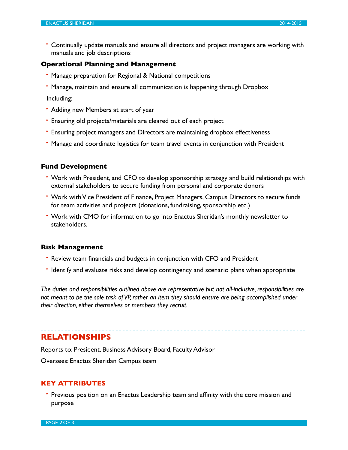• Continually update manuals and ensure all directors and project managers are working with manuals and job descriptions

#### **Operational Planning and Management**

- Manage preparation for Regional & National competitions
- Manage, maintain and ensure all communication is happening through Dropbox

Including:

- Adding new Members at start of year
- Ensuring old projects/materials are cleared out of each project
- Ensuring project managers and Directors are maintaining dropbox effectiveness
- Manage and coordinate logistics for team travel events in conjunction with President

#### **Fund Development**

- Work with President, and CFO to develop sponsorship strategy and build relationships with external stakeholders to secure funding from personal and corporate donors
- Work with Vice President of Finance, Project Managers, Campus Directors to secure funds for team activities and projects (donations, fundraising, sponsorship etc.)
- Work with CMO for information to go into Enactus Sheridan's monthly newsletter to stakeholders.

#### **Risk Management**

- Review team financials and budgets in conjunction with CFO and President
- Identify and evaluate risks and develop contingency and scenario plans when appropriate

*The duties and responsibilities outlined above are representative but not all-inclusive, responsibilities are not meant to be the sole task of VP, rather an item they should ensure are being accomplished under their direction, either themselves or members they recruit.*

## **RELATIONSHIPS**

Reports to: President, Business Advisory Board, Faculty Advisor

Oversees: Enactus Sheridan Campus team

#### **KEY ATTRIBUTES**

• Previous position on an Enactus Leadership team and affinity with the core mission and purpose